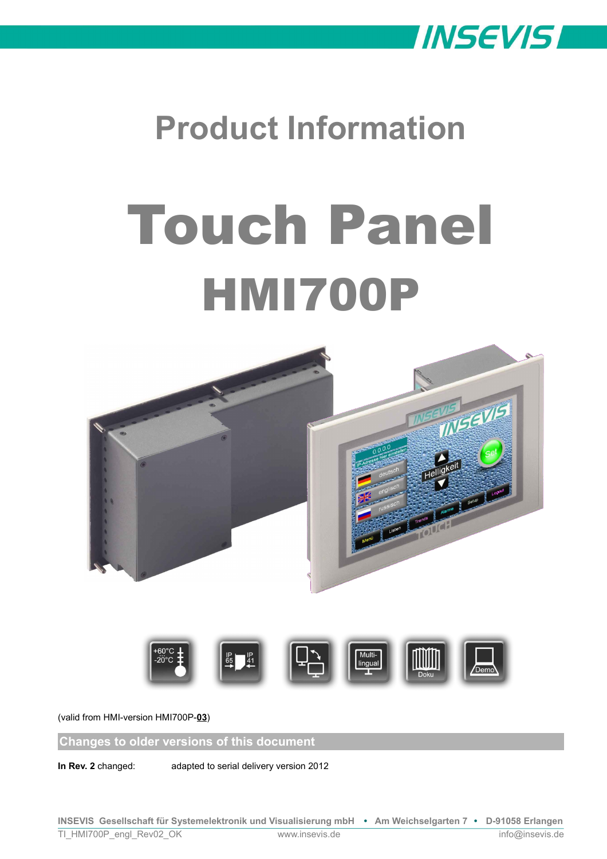

# **Product Information**

# Touch Panel HMI700P





(valid from HMI-version HMI700P-**03**)

**Changes to older versions of this document**

**In Rev. 2** changed: adapted to serial delivery version 2012

**INSEVIS Gesellschaft für Systemelektronik und Visualisierung mbH • Am Weichselgarten 7 • D-91058 Erlangen**

TI\_HMI700P\_engl\_Rev02\_OK www.insevis.de info@insevis.de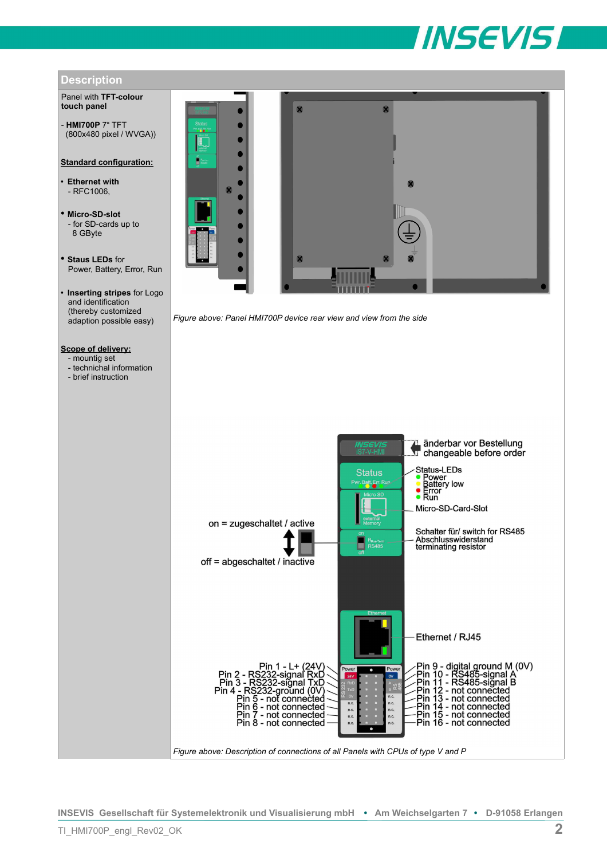# **INSEVIS**



*Figure above: Description of connections of all Panels with CPUs of type V and P*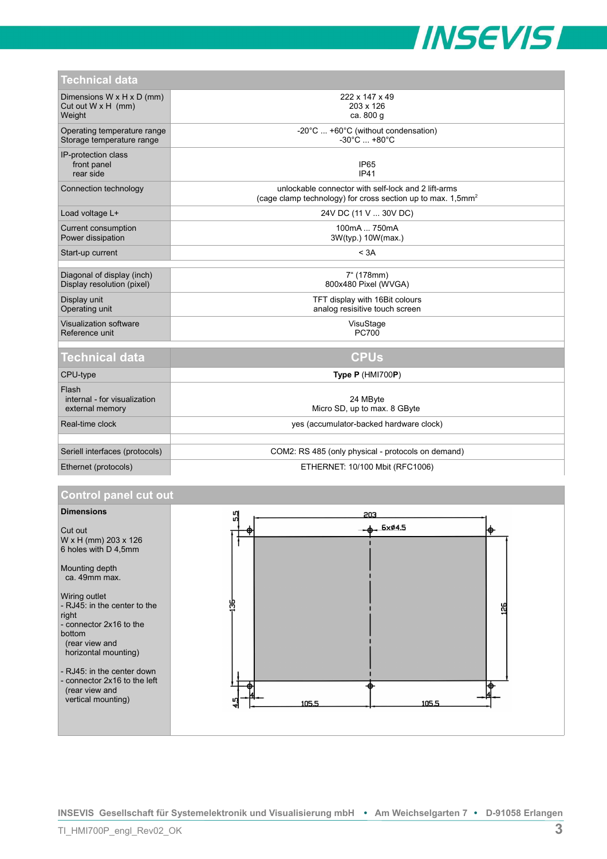

| Technical data                                                               |                                                                                                                                   |
|------------------------------------------------------------------------------|-----------------------------------------------------------------------------------------------------------------------------------|
| Dimensions $W \times H \times D$ (mm)<br>Cut out $W \times H$ (mm)<br>Weight | 222 x 147 x 49<br>203 x 126<br>ca. 800 g                                                                                          |
| Operating temperature range<br>Storage temperature range                     | -20°C  +60°C (without condensation)<br>$-30^{\circ}$ C $ + 80^{\circ}$ C                                                          |
| IP-protection class<br>front panel<br>rear side                              | IP <sub>65</sub><br>IP41                                                                                                          |
| Connection technology                                                        | unlockable connector with self-lock and 2 lift-arms<br>(cage clamp technology) for cross section up to max. $1.5$ mm <sup>2</sup> |
| Load voltage L+                                                              | 24V DC (11 V  30V DC)                                                                                                             |
| Current consumption<br>Power dissipation                                     | 100mA  750mA<br>3W(typ.) 10W(max.)                                                                                                |
| Start-up current                                                             | < 3A                                                                                                                              |
| Diagonal of display (inch)                                                   | 7" (178mm)                                                                                                                        |
| Display resolution (pixel)                                                   | 800x480 Pixel (WVGA)                                                                                                              |
| Display unit<br>Operating unit                                               | TFT display with 16Bit colours<br>analog resisitive touch screen                                                                  |
| Visualization software<br>Reference unit                                     | VisuStage<br><b>PC700</b>                                                                                                         |
|                                                                              |                                                                                                                                   |
| <b>Technical data</b>                                                        | <b>CPUs</b>                                                                                                                       |
| CPU-type                                                                     | Type P (HMI700P)                                                                                                                  |
| Flash<br>internal - for visualization<br>external memory                     | 24 MByte<br>Micro SD, up to max. 8 GByte                                                                                          |
| Real-time clock                                                              | yes (accumulator-backed hardware clock)                                                                                           |
|                                                                              |                                                                                                                                   |
| Seriell interfaces (protocols)                                               | COM2: RS 485 (only physical - protocols on demand)                                                                                |

## Ethernet (protocols) ETHERNET: 10/100 Mbit (RFC1006)

#### **Control panel cut out**



**INSEVIS Gesellschaft für Systemelektronik und Visualisierung mbH • Am Weichselgarten 7 • D-91058 Erlangen**